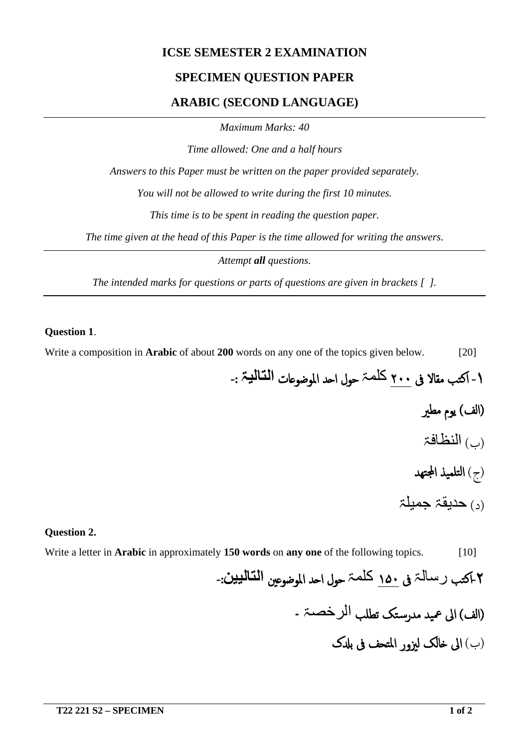## **ICSE SEMESTER 2 EXAMINATION**

## **SPECIMEN QUESTION PAPER**

## **ARABIC (SECOND LANGUAGE)**

*Maximum Marks: 40*

*Time allowed: One and a half hours*

*Answers to this Paper must be written on the paper provided separately.*

*You will not be allowed to write during the first 10 minutes.*

*This time is to be spent in reading the question paper.*

*The time given at the head of this Paper is the time allowed for writing the answers.*

*Attempt all questions.*

*The intended marks for questions or parts of questions are given in brackets [ ].*

#### **Question 1**.

Write a composition in **Arabic** of about **200** words on any one of the topics given below. [20]

-۱ اکتب مقالا فى ۲۰۰ کلمۃ حول ا�د الموضو�ات **التالیۃ** : -

- (الف) یوم مطير
- (ب) النظافۃ
- (ج) التلمیذ ا�تھد
- (د) حدیقۃ جمیلۃ

#### **Question 2.**

Write a letter in **Arabic** in approximately **150 words** on **any one** of the following topics. [10]

# -۲ اکتب رسالۃ فى ۱۵۰ کلمۃ حول ا�د الموضو�ين **التالیین**: -

- (الف) الى عمید مدرس�تک تطلب الرخصۃ ۔
	- (ب) الى �الک ليزور المتحف فى ب�ک